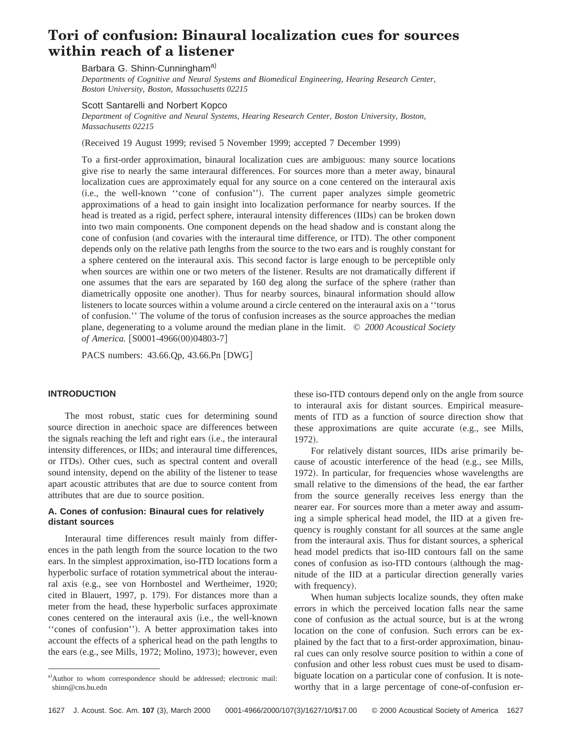# **Tori of confusion: Binaural localization cues for sources within reach of a listener**

Barbara G. Shinn-Cunningham<sup>a)</sup>

*Departments of Cognitive and Neural Systems and Biomedical Engineering, Hearing Research Center, Boston University, Boston, Massachusetts 02215*

# Scott Santarelli and Norbert Kopco

*Department of Cognitive and Neural Systems, Hearing Research Center, Boston University, Boston, Massachusetts 02215*

(Received 19 August 1999; revised 5 November 1999; accepted 7 December 1999)

To a first-order approximation, binaural localization cues are ambiguous: many source locations give rise to nearly the same interaural differences. For sources more than a meter away, binaural localization cues are approximately equal for any source on a cone centered on the interaural axis (i.e., the well-known "cone of confusion"). The current paper analyzes simple geometric approximations of a head to gain insight into localization performance for nearby sources. If the head is treated as a rigid, perfect sphere, interaural intensity differences (IIDs) can be broken down into two main components. One component depends on the head shadow and is constant along the cone of confusion (and covaries with the interaural time difference, or ITD). The other component depends only on the relative path lengths from the source to the two ears and is roughly constant for a sphere centered on the interaural axis. This second factor is large enough to be perceptible only when sources are within one or two meters of the listener. Results are not dramatically different if one assumes that the ears are separated by 160 deg along the surface of the sphere (rather than diametrically opposite one another). Thus for nearby sources, binaural information should allow listeners to locate sources within a volume around a circle centered on the interaural axis on a ''torus of confusion.'' The volume of the torus of confusion increases as the source approaches the median plane, degenerating to a volume around the median plane in the limit. © *2000 Acoustical Society* of America.<sup>[S0001-4966(00)04803-7]</sup>

PACS numbers: 43.66.Qp, 43.66.Pn [DWG]

#### **INTRODUCTION**

The most robust, static cues for determining sound source direction in anechoic space are differences between the signals reaching the left and right ears (i.e., the interaural intensity differences, or IIDs; and interaural time differences, or ITDs). Other cues, such as spectral content and overall sound intensity, depend on the ability of the listener to tease apart acoustic attributes that are due to source content from attributes that are due to source position.

### **A. Cones of confusion: Binaural cues for relatively distant sources**

Interaural time differences result mainly from differences in the path length from the source location to the two ears. In the simplest approximation, iso-ITD locations form a hyperbolic surface of rotation symmetrical about the interaural axis (e.g., see von Hornbostel and Wertheimer, 1920; cited in Blauert, 1997, p. 179). For distances more than a meter from the head, these hyperbolic surfaces approximate cones centered on the interaural axis (i.e., the well-known "cones of confusion"). A better approximation takes into account the effects of a spherical head on the path lengths to the ears (e.g., see Mills, 1972; Molino, 1973); however, even

these iso-ITD contours depend only on the angle from source to interaural axis for distant sources. Empirical measurements of ITD as a function of source direction show that these approximations are quite accurate  $(e.g., see)$  Mills, 1972).

For relatively distant sources, IIDs arise primarily because of acoustic interference of the head (e.g., see Mills, 1972). In particular, for frequencies whose wavelengths are small relative to the dimensions of the head, the ear farther from the source generally receives less energy than the nearer ear. For sources more than a meter away and assuming a simple spherical head model, the IID at a given frequency is roughly constant for all sources at the same angle from the interaural axis. Thus for distant sources, a spherical head model predicts that iso-IID contours fall on the same cones of confusion as iso-ITD contours (although the magnitude of the IID at a particular direction generally varies with frequency).

When human subjects localize sounds, they often make errors in which the perceived location falls near the same cone of confusion as the actual source, but is at the wrong location on the cone of confusion. Such errors can be explained by the fact that to a first-order approximation, binaural cues can only resolve source position to within a cone of confusion and other less robust cues must be used to disambiguate location on a particular cone of confusion. It is noteworthy that in a large percentage of cone-of-confusion er-

a)Author to whom correspondence should be addressed; electronic mail: shinn@cns.bu.edn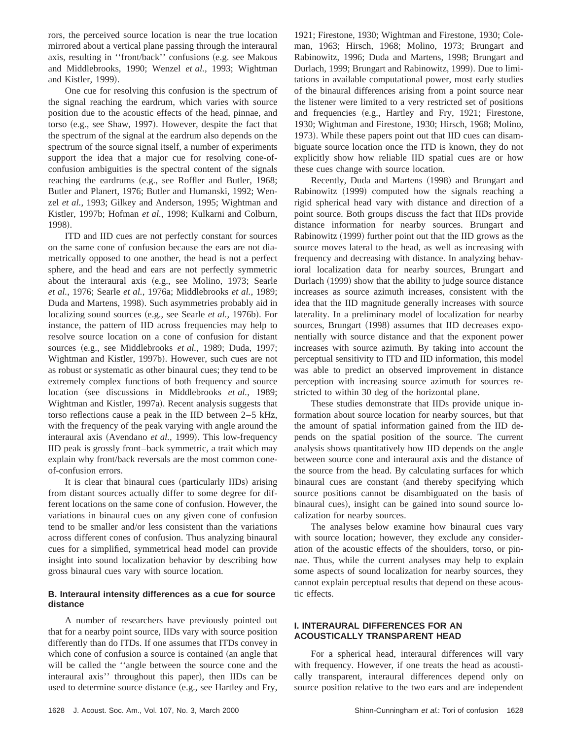rors, the perceived source location is near the true location mirrored about a vertical plane passing through the interaural axis, resulting in "front/back" confusions (e.g. see Makous and Middlebrooks, 1990; Wenzel *et al.*, 1993; Wightman and Kistler, 1999).

One cue for resolving this confusion is the spectrum of the signal reaching the eardrum, which varies with source position due to the acoustic effects of the head, pinnae, and torso (e.g., see Shaw, 1997). However, despite the fact that the spectrum of the signal at the eardrum also depends on the spectrum of the source signal itself, a number of experiments support the idea that a major cue for resolving cone-ofconfusion ambiguities is the spectral content of the signals reaching the eardrums (e.g., see Roffler and Butler, 1968; Butler and Planert, 1976; Butler and Humanski, 1992; Wenzel *et al.*, 1993; Gilkey and Anderson, 1995; Wightman and Kistler, 1997b; Hofman *et al.*, 1998; Kulkarni and Colburn, 1998).

ITD and IID cues are not perfectly constant for sources on the same cone of confusion because the ears are not diametrically opposed to one another, the head is not a perfect sphere, and the head and ears are not perfectly symmetric about the interaural axis (e.g., see Molino, 1973; Searle *et al.*, 1976; Searle *et al.*, 1976a; Middlebrooks *et al.*, 1989; Duda and Martens, 1998). Such asymmetries probably aid in localizing sound sources (e.g., see Searle *et al.*, 1976b). For instance, the pattern of IID across frequencies may help to resolve source location on a cone of confusion for distant sources (e.g., see Middlebrooks *et al.*, 1989; Duda, 1997; Wightman and Kistler, 1997b). However, such cues are not as robust or systematic as other binaural cues; they tend to be extremely complex functions of both frequency and source location (see discussions in Middlebrooks *et al.*, 1989; Wightman and Kistler, 1997a). Recent analysis suggests that torso reflections cause a peak in the IID between 2–5 kHz, with the frequency of the peak varying with angle around the interaural axis (Avendano *et al.*, 1999). This low-frequency IID peak is grossly front–back symmetric, a trait which may explain why front/back reversals are the most common coneof-confusion errors.

It is clear that binaural cues (particularly IIDs) arising from distant sources actually differ to some degree for different locations on the same cone of confusion. However, the variations in binaural cues on any given cone of confusion tend to be smaller and/or less consistent than the variations across different cones of confusion. Thus analyzing binaural cues for a simplified, symmetrical head model can provide insight into sound localization behavior by describing how gross binaural cues vary with source location.

# **B. Interaural intensity differences as a cue for source distance**

A number of researchers have previously pointed out that for a nearby point source, IIDs vary with source position differently than do ITDs. If one assumes that ITDs convey in which cone of confusion a source is contained (an angle that will be called the ''angle between the source cone and the interaural axis'' throughout this paper), then IIDs can be used to determine source distance (e.g., see Hartley and Fry,

1921; Firestone, 1930; Wightman and Firestone, 1930; Coleman, 1963; Hirsch, 1968; Molino, 1973; Brungart and Rabinowitz, 1996; Duda and Martens, 1998; Brungart and Durlach, 1999; Brungart and Rabinowitz, 1999). Due to limitations in available computational power, most early studies of the binaural differences arising from a point source near the listener were limited to a very restricted set of positions and frequencies (e.g., Hartley and Fry, 1921; Firestone, 1930; Wightman and Firestone, 1930; Hirsch, 1968; Molino, 1973). While these papers point out that IID cues can disambiguate source location once the ITD is known, they do not explicitly show how reliable IID spatial cues are or how these cues change with source location.

Recently, Duda and Martens (1998) and Brungart and Rabinowitz (1999) computed how the signals reaching a rigid spherical head vary with distance and direction of a point source. Both groups discuss the fact that IIDs provide distance information for nearby sources. Brungart and Rabinowitz (1999) further point out that the IID grows as the source moves lateral to the head, as well as increasing with frequency and decreasing with distance. In analyzing behavioral localization data for nearby sources, Brungart and Durlach (1999) show that the ability to judge source distance increases as source azimuth increases, consistent with the idea that the IID magnitude generally increases with source laterality. In a preliminary model of localization for nearby sources, Brungart (1998) assumes that IID decreases exponentially with source distance and that the exponent power increases with source azimuth. By taking into account the perceptual sensitivity to ITD and IID information, this model was able to predict an observed improvement in distance perception with increasing source azimuth for sources restricted to within 30 deg of the horizontal plane.

These studies demonstrate that IIDs provide unique information about source location for nearby sources, but that the amount of spatial information gained from the IID depends on the spatial position of the source. The current analysis shows quantitatively how IID depends on the angle between source cone and interaural axis and the distance of the source from the head. By calculating surfaces for which binaural cues are constant (and thereby specifying which source positions cannot be disambiguated on the basis of binaural cues), insight can be gained into sound source localization for nearby sources.

The analyses below examine how binaural cues vary with source location; however, they exclude any consideration of the acoustic effects of the shoulders, torso, or pinnae. Thus, while the current analyses may help to explain some aspects of sound localization for nearby sources, they cannot explain perceptual results that depend on these acoustic effects.

# **I. INTERAURAL DIFFERENCES FOR AN ACOUSTICALLY TRANSPARENT HEAD**

For a spherical head, interaural differences will vary with frequency. However, if one treats the head as acoustically transparent, interaural differences depend only on source position relative to the two ears and are independent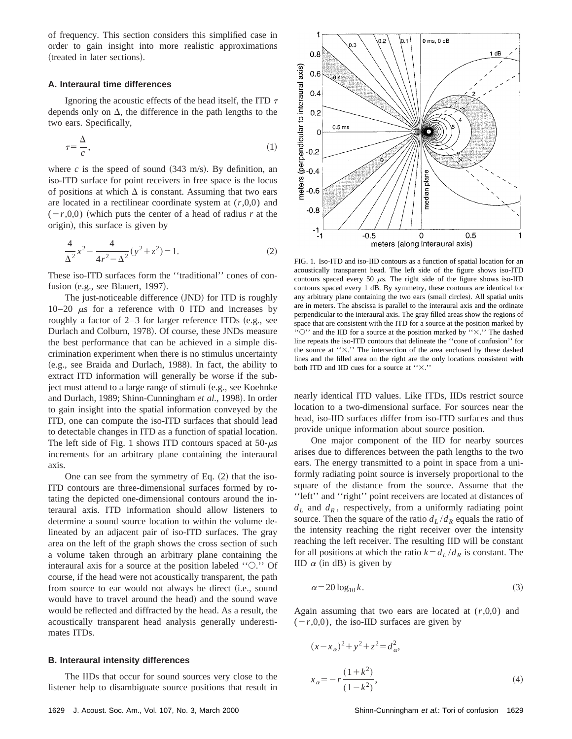of frequency. This section considers this simplified case in order to gain insight into more realistic approximations (treated in later sections).

#### **A. Interaural time differences**

Ignoring the acoustic effects of the head itself, the ITD  $\tau$ depends only on  $\Delta$ , the difference in the path lengths to the two ears. Specifically,

$$
\tau = \frac{\Delta}{c},\tag{1}
$$

where  $c$  is the speed of sound  $(343 \text{ m/s})$ . By definition, an iso-ITD surface for point receivers in free space is the locus of positions at which  $\Delta$  is constant. Assuming that two ears are located in a rectilinear coordinate system at (*r*,0,0) and  $(-r,0,0)$  (which puts the center of a head of radius *r* at the origin), this surface is given by

$$
\frac{4}{\Delta^2}x^2 - \frac{4}{4r^2 - \Delta^2}(y^2 + z^2) = 1.
$$
 (2)

These iso-ITD surfaces form the ''traditional'' cones of confusion (e.g., see Blauert, 1997).

The just-noticeable difference (JND) for ITD is roughly  $10-20$   $\mu$ s for a reference with 0 ITD and increases by roughly a factor of  $2-3$  for larger reference ITDs (e.g., see Durlach and Colburn, 1978). Of course, these JNDs measure the best performance that can be achieved in a simple discrimination experiment when there is no stimulus uncertainty (e.g., see Braida and Durlach, 1988). In fact, the ability to extract ITD information will generally be worse if the subject must attend to a large range of stimuli (e.g., see Koehnke and Durlach, 1989; Shinn-Cunningham et al., 1998). In order to gain insight into the spatial information conveyed by the ITD, one can compute the iso-ITD surfaces that should lead to detectable changes in ITD as a function of spatial location. The left side of Fig. 1 shows ITD contours spaced at  $50 - \mu s$ increments for an arbitrary plane containing the interaural axis.

One can see from the symmetry of Eq.  $(2)$  that the iso-ITD contours are three-dimensional surfaces formed by rotating the depicted one-dimensional contours around the interaural axis. ITD information should allow listeners to determine a sound source location to within the volume delineated by an adjacent pair of iso-ITD surfaces. The gray area on the left of the graph shows the cross section of such a volume taken through an arbitrary plane containing the interaural axis for a source at the position labeled  $\cdot$   $\circ$ .'' Of course, if the head were not acoustically transparent, the path from source to ear would not always be direct (i.e., sound would have to travel around the head) and the sound wave would be reflected and diffracted by the head. As a result, the acoustically transparent head analysis generally underestimates ITDs.

#### **B. Interaural intensity differences**

The IIDs that occur for sound sources very close to the listener help to disambiguate source positions that result in



FIG. 1. Iso-ITD and iso-IID contours as a function of spatial location for an acoustically transparent head. The left side of the figure shows iso-ITD contours spaced every 50  $\mu$ s. The right side of the figure shows iso-IID contours spaced every 1 dB. By symmetry, these contours are identical for any arbitrary plane containing the two ears (small circles). All spatial units are in meters. The abscissa is parallel to the interaural axis and the ordinate perpendicular to the interaural axis. The gray filled areas show the regions of space that are consistent with the ITD for a source at the position marked by ''O'' and the IID for a source at the position marked by '' $\times$ .'' The dashed line repeats the iso-ITD contours that delineate the ''cone of confusion'' for the source at " $\times$ ." The intersection of the area enclosed by these dashed lines and the filled area on the right are the only locations consistent with both ITD and IID cues for a source at " $\times$ ."

nearly identical ITD values. Like ITDs, IIDs restrict source location to a two-dimensional surface. For sources near the head, iso-IID surfaces differ from iso-ITD surfaces and thus provide unique information about source position.

One major component of the IID for nearby sources arises due to differences between the path lengths to the two ears. The energy transmitted to a point in space from a uniformly radiating point source is inversely proportional to the square of the distance from the source. Assume that the ''left'' and ''right'' point receivers are located at distances of  $d<sub>L</sub>$  and  $d<sub>R</sub>$ , respectively, from a uniformly radiating point source. Then the square of the ratio  $d_L/d_R$  equals the ratio of the intensity reaching the right receiver over the intensity reaching the left receiver. The resulting IID will be constant for all positions at which the ratio  $k=d_L/d_R$  is constant. The IID  $\alpha$  (in dB) is given by

$$
\alpha = 20 \log_{10} k. \tag{3}
$$

Again assuming that two ears are located at  $(r,0,0)$  and  $(-r,0,0)$ , the iso-IID surfaces are given by

$$
(x - x_{\alpha})^2 + y^2 + z^2 = d_{\alpha}^2,
$$
  

$$
x_{\alpha} = -r \frac{(1 + k^2)}{(1 - k^2)},
$$
 (4)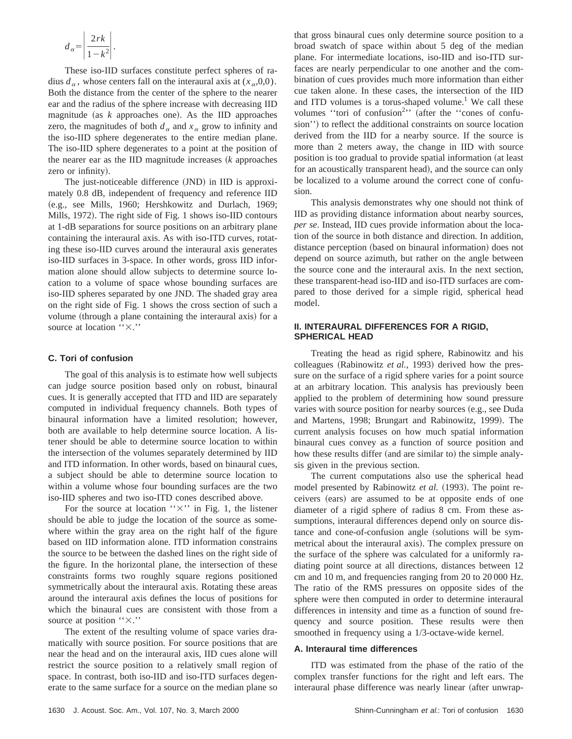$$
d_{\alpha} = \left| \frac{2rk}{1 - k^2} \right|.
$$

These iso-IID surfaces constitute perfect spheres of radius  $d_{\alpha}$ , whose centers fall on the interaural axis at  $(x_{\alpha},0,0)$ . Both the distance from the center of the sphere to the nearer ear and the radius of the sphere increase with decreasing IID magnitude (as  $k$  approaches one). As the IID approaches zero, the magnitudes of both  $d_{\alpha}$  and  $x_{\alpha}$  grow to infinity and the iso-IID sphere degenerates to the entire median plane. The iso-IID sphere degenerates to a point at the position of the nearer ear as the IID magnitude increases  $(k$  approaches zero or infinity).

The just-noticeable difference  $(JND)$  in  $IID$  is approximately 0.8 dB, independent of frequency and reference IID (e.g., see Mills, 1960; Hershkowitz and Durlach, 1969; Mills, 1972). The right side of Fig. 1 shows iso-IID contours at 1-dB separations for source positions on an arbitrary plane containing the interaural axis. As with iso-ITD curves, rotating these iso-IID curves around the interaural axis generates iso-IID surfaces in 3-space. In other words, gross IID information alone should allow subjects to determine source location to a volume of space whose bounding surfaces are iso-IID spheres separated by one JND. The shaded gray area on the right side of Fig. 1 shows the cross section of such a volume (through a plane containing the interaural axis) for a source at location " $\times$ ."

#### **C. Tori of confusion**

The goal of this analysis is to estimate how well subjects can judge source position based only on robust, binaural cues. It is generally accepted that ITD and IID are separately computed in individual frequency channels. Both types of binaural information have a limited resolution; however, both are available to help determine source location. A listener should be able to determine source location to within the intersection of the volumes separately determined by IID and ITD information. In other words, based on binaural cues, a subject should be able to determine source location to within a volume whose four bounding surfaces are the two iso-IID spheres and two iso-ITD cones described above.

For the source at location  $''\times''$  in Fig. 1, the listener should be able to judge the location of the source as somewhere within the gray area on the right half of the figure based on IID information alone. ITD information constrains the source to be between the dashed lines on the right side of the figure. In the horizontal plane, the intersection of these constraints forms two roughly square regions positioned symmetrically about the interaural axis. Rotating these areas around the interaural axis defines the locus of positions for which the binaural cues are consistent with those from a source at position  $"X."$ 

The extent of the resulting volume of space varies dramatically with source position. For source positions that are near the head and on the interaural axis, IID cues alone will restrict the source position to a relatively small region of space. In contrast, both iso-IID and iso-ITD surfaces degenerate to the same surface for a source on the median plane so that gross binaural cues only determine source position to a broad swatch of space within about 5 deg of the median plane. For intermediate locations, iso-IID and iso-ITD surfaces are nearly perpendicular to one another and the combination of cues provides much more information than either cue taken alone. In these cases, the intersection of the IID and ITD volumes is a torus-shaped volume.<sup>1</sup> We call these volumes "tori of confusion<sup>2</sup>" (after the "cones of confusion'') to reflect the additional constraints on source location derived from the IID for a nearby source. If the source is more than 2 meters away, the change in IID with source position is too gradual to provide spatial information (at least for an acoustically transparent head), and the source can only be localized to a volume around the correct cone of confusion.

This analysis demonstrates why one should not think of IID as providing distance information about nearby sources, *per se*. Instead, IID cues provide information about the location of the source in both distance and direction. In addition, distance perception (based on binaural information) does not depend on source azimuth, but rather on the angle between the source cone and the interaural axis. In the next section, these transparent-head iso-IID and iso-ITD surfaces are compared to those derived for a simple rigid, spherical head model.

# **II. INTERAURAL DIFFERENCES FOR A RIGID, SPHERICAL HEAD**

Treating the head as rigid sphere, Rabinowitz and his colleagues (Rabinowitz *et al.*, 1993) derived how the pressure on the surface of a rigid sphere varies for a point source at an arbitrary location. This analysis has previously been applied to the problem of determining how sound pressure varies with source position for nearby sources (e.g., see Duda and Martens, 1998; Brungart and Rabinowitz, 1999). The current analysis focuses on how much spatial information binaural cues convey as a function of source position and how these results differ (and are similar to) the simple analysis given in the previous section.

The current computations also use the spherical head model presented by Rabinowitz et al. (1993). The point receivers (ears) are assumed to be at opposite ends of one diameter of a rigid sphere of radius 8 cm. From these assumptions, interaural differences depend only on source distance and cone-of-confusion angle (solutions will be symmetrical about the interaural axis). The complex pressure on the surface of the sphere was calculated for a uniformly radiating point source at all directions, distances between 12 cm and 10 m, and frequencies ranging from 20 to 20 000 Hz. The ratio of the RMS pressures on opposite sides of the sphere were then computed in order to determine interaural differences in intensity and time as a function of sound frequency and source position. These results were then smoothed in frequency using a 1/3-octave-wide kernel.

#### **A. Interaural time differences**

ITD was estimated from the phase of the ratio of the complex transfer functions for the right and left ears. The interaural phase difference was nearly linear (after unwrap-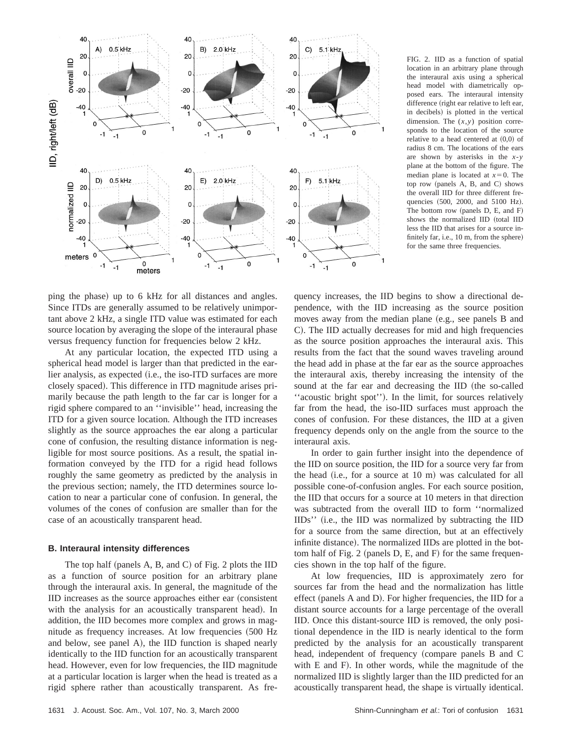

ping the phase) up to 6 kHz for all distances and angles. Since ITDs are generally assumed to be relatively unimportant above 2 kHz, a single ITD value was estimated for each source location by averaging the slope of the interaural phase versus frequency function for frequencies below 2 kHz.

At any particular location, the expected ITD using a spherical head model is larger than that predicted in the earlier analysis, as expected (i.e., the iso-ITD surfaces are more closely spaced). This difference in ITD magnitude arises primarily because the path length to the far car is longer for a rigid sphere compared to an ''invisible'' head, increasing the ITD for a given source location. Although the ITD increases slightly as the source approaches the ear along a particular cone of confusion, the resulting distance information is negligible for most source positions. As a result, the spatial information conveyed by the ITD for a rigid head follows roughly the same geometry as predicted by the analysis in the previous section; namely, the ITD determines source location to near a particular cone of confusion. In general, the volumes of the cones of confusion are smaller than for the case of an acoustically transparent head.

#### **B. Interaural intensity differences**

The top half (panels  $A$ ,  $B$ , and  $C$ ) of Fig. 2 plots the IID as a function of source position for an arbitrary plane through the interaural axis. In general, the magnitude of the IID increases as the source approaches either ear (consistent with the analysis for an acoustically transparent head). In addition, the IID becomes more complex and grows in magnitude as frequency increases. At low frequencies  $(500 \text{ Hz})$ and below, see panel A), the IID function is shaped nearly identically to the IID function for an acoustically transparent head. However, even for low frequencies, the IID magnitude at a particular location is larger when the head is treated as a rigid sphere rather than acoustically transparent. As fre-

FIG. 2. IID as a function of spatial location in an arbitrary plane through the interaural axis using a spherical head model with diametrically opposed ears. The interaural intensity difference (right ear relative to left ear, in decibels) is plotted in the vertical dimension. The (*x*,*y*) position corresponds to the location of the source relative to a head centered at  $(0,0)$  of radius 8 cm. The locations of the ears are shown by asterisks in the *x*-*y* plane at the bottom of the figure. The median plane is located at  $x=0$ . The top row (panels  $A$ ,  $B$ , and  $C$ ) shows the overall IID for three different frequencies (500, 2000, and 5100 Hz). The bottom row (panels  $D$ , E, and F) shows the normalized IID (total IID less the IID that arises for a source infinitely far, i.e., 10 m, from the sphere) for the same three frequencies.

quency increases, the IID begins to show a directional dependence, with the IID increasing as the source position moves away from the median plane (e.g., see panels B and C). The IID actually decreases for mid and high frequencies as the source position approaches the interaural axis. This results from the fact that the sound waves traveling around the head add in phase at the far ear as the source approaches the interaural axis, thereby increasing the intensity of the sound at the far ear and decreasing the IID (the so-called "acoustic bright spot"). In the limit, for sources relatively far from the head, the iso-IID surfaces must approach the cones of confusion. For these distances, the IID at a given frequency depends only on the angle from the source to the interaural axis.

In order to gain further insight into the dependence of the IID on source position, the IID for a source very far from the head  $(i.e., for a source at 10 m) was calculated for all$ possible cone-of-confusion angles. For each source position, the IID that occurs for a source at 10 meters in that direction was subtracted from the overall IID to form ''normalized  $IIDs'$  (i.e., the IID was normalized by subtracting the IID for a source from the same direction, but at an effectively infinite distance). The normalized IIDs are plotted in the bottom half of Fig. 2 (panels  $D$ , E, and F) for the same frequencies shown in the top half of the figure.

At low frequencies, IID is approximately zero for sources far from the head and the normalization has little effect (panels  $A$  and  $D$ ). For higher frequencies, the IID for a distant source accounts for a large percentage of the overall IID. Once this distant-source IID is removed, the only positional dependence in the IID is nearly identical to the form predicted by the analysis for an acoustically transparent head, independent of frequency (compare panels B and C with  $E$  and  $F$ ). In other words, while the magnitude of the normalized IID is slightly larger than the IID predicted for an acoustically transparent head, the shape is virtually identical.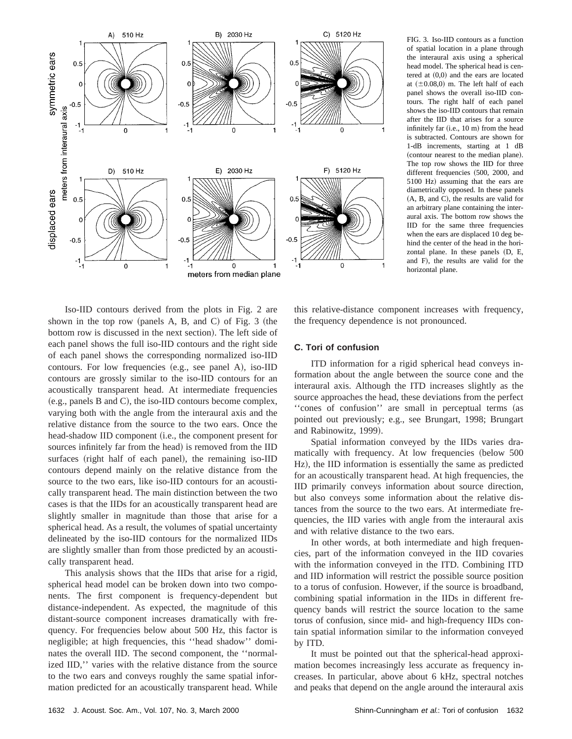

FIG. 3. Iso-IID contours as a function of spatial location in a plane through the interaural axis using a spherical head model. The spherical head is centered at  $(0,0)$  and the ears are located at  $(\pm 0.08,0)$  m. The left half of each panel shows the overall iso-IID contours. The right half of each panel shows the iso-IID contours that remain after the IID that arises for a source infinitely far  $(i.e., 10 m)$  from the head is subtracted. Contours are shown for 1-dB increments, starting at 1 dB (contour nearest to the median plane). The top row shows the IID for three different frequencies (500, 2000, and 5100 Hz) assuming that the ears are diametrically opposed. In these panels  $(A, B, and C)$ , the results are valid for an arbitrary plane containing the interaural axis. The bottom row shows the IID for the same three frequencies when the ears are displaced 10 deg behind the center of the head in the horizontal plane. In these panels (D, E, and F), the results are valid for the horizontal plane.

Iso-IID contours derived from the plots in Fig. 2 are shown in the top row (panels A, B, and C) of Fig. 3 (the bottom row is discussed in the next section). The left side of each panel shows the full iso-IID contours and the right side of each panel shows the corresponding normalized iso-IID contours. For low frequencies  $(e.g., see panel A)$ , iso-IID contours are grossly similar to the iso-IID contours for an acoustically transparent head. At intermediate frequencies  $(e.g., panels B and C)$ , the iso-IID contours become complex, varying both with the angle from the interaural axis and the relative distance from the source to the two ears. Once the head-shadow IID component (i.e., the component present for sources infinitely far from the head) is removed from the IID surfaces (right half of each panel), the remaining iso-IID contours depend mainly on the relative distance from the source to the two ears, like iso-IID contours for an acoustically transparent head. The main distinction between the two cases is that the IIDs for an acoustically transparent head are slightly smaller in magnitude than those that arise for a spherical head. As a result, the volumes of spatial uncertainty delineated by the iso-IID contours for the normalized IIDs are slightly smaller than from those predicted by an acoustically transparent head.

This analysis shows that the IIDs that arise for a rigid, spherical head model can be broken down into two components. The first component is frequency-dependent but distance-independent. As expected, the magnitude of this distant-source component increases dramatically with frequency. For frequencies below about 500 Hz, this factor is negligible; at high frequencies, this ''head shadow'' dominates the overall IID. The second component, the ''normalized IID,'' varies with the relative distance from the source to the two ears and conveys roughly the same spatial information predicted for an acoustically transparent head. While

this relative-distance component increases with frequency, the frequency dependence is not pronounced.

#### **C. Tori of confusion**

ITD information for a rigid spherical head conveys information about the angle between the source cone and the interaural axis. Although the ITD increases slightly as the source approaches the head, these deviations from the perfect "cones of confusion" are small in perceptual terms (as pointed out previously; e.g., see Brungart, 1998; Brungart and Rabinowitz, 1999).

Spatial information conveyed by the IIDs varies dramatically with frequency. At low frequencies (below 500) Hz), the IID information is essentially the same as predicted for an acoustically transparent head. At high frequencies, the IID primarily conveys information about source direction, but also conveys some information about the relative distances from the source to the two ears. At intermediate frequencies, the IID varies with angle from the interaural axis and with relative distance to the two ears.

In other words, at both intermediate and high frequencies, part of the information conveyed in the IID covaries with the information conveyed in the ITD. Combining ITD and IID information will restrict the possible source position to a torus of confusion. However, if the source is broadband, combining spatial information in the IIDs in different frequency bands will restrict the source location to the same torus of confusion, since mid- and high-frequency IIDs contain spatial information similar to the information conveyed by ITD.

It must be pointed out that the spherical-head approximation becomes increasingly less accurate as frequency increases. In particular, above about 6 kHz, spectral notches and peaks that depend on the angle around the interaural axis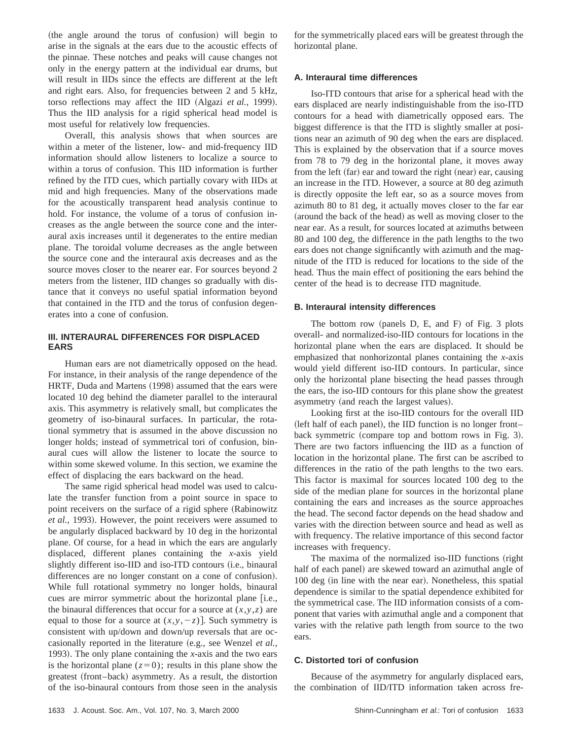(the angle around the torus of confusion) will begin to arise in the signals at the ears due to the acoustic effects of the pinnae. These notches and peaks will cause changes not only in the energy pattern at the individual ear drums, but will result in IIDs since the effects are different at the left and right ears. Also, for frequencies between 2 and 5 kHz, torso reflections may affect the IID (Algazi et al., 1999). Thus the IID analysis for a rigid spherical head model is most useful for relatively low frequencies.

Overall, this analysis shows that when sources are within a meter of the listener, low- and mid-frequency IID information should allow listeners to localize a source to within a torus of confusion. This IID information is further refined by the ITD cues, which partially covary with IIDs at mid and high frequencies. Many of the observations made for the acoustically transparent head analysis continue to hold. For instance, the volume of a torus of confusion increases as the angle between the source cone and the interaural axis increases until it degenerates to the entire median plane. The toroidal volume decreases as the angle between the source cone and the interaural axis decreases and as the source moves closer to the nearer ear. For sources beyond 2 meters from the listener, IID changes so gradually with distance that it conveys no useful spatial information beyond that contained in the ITD and the torus of confusion degenerates into a cone of confusion.

# **III. INTERAURAL DIFFERENCES FOR DISPLACED EARS**

Human ears are not diametrically opposed on the head. For instance, in their analysis of the range dependence of the HRTF, Duda and Martens (1998) assumed that the ears were located 10 deg behind the diameter parallel to the interaural axis. This asymmetry is relatively small, but complicates the geometry of iso-binaural surfaces. In particular, the rotational symmetry that is assumed in the above discussion no longer holds; instead of symmetrical tori of confusion, binaural cues will allow the listener to locate the source to within some skewed volume. In this section, we examine the effect of displacing the ears backward on the head.

The same rigid spherical head model was used to calculate the transfer function from a point source in space to point receivers on the surface of a rigid sphere (Rabinowitz *et al.*, 1993). However, the point receivers were assumed to be angularly displaced backward by 10 deg in the horizontal plane. Of course, for a head in which the ears are angularly displaced, different planes containing the *x*-axis yield slightly different iso-IID and iso-ITD contours (i.e., binaural differences are no longer constant on a cone of confusion). While full rotational symmetry no longer holds, binaural cues are mirror symmetric about the horizontal plane [i.e., the binaural differences that occur for a source at  $(x, y, z)$  are equal to those for a source at  $(x, y, -z)$ . Such symmetry is consistent with up/down and down/up reversals that are occasionally reported in the literature (e.g., see Wenzel *et al.*, 1993). The only plane containing the *x*-axis and the two ears is the horizontal plane  $(z=0)$ ; results in this plane show the greatest (front–back) asymmetry. As a result, the distortion of the iso-binaural contours from those seen in the analysis for the symmetrically placed ears will be greatest through the horizontal plane.

# **A. Interaural time differences**

Iso-ITD contours that arise for a spherical head with the ears displaced are nearly indistinguishable from the iso-ITD contours for a head with diametrically opposed ears. The biggest difference is that the ITD is slightly smaller at positions near an azimuth of 90 deg when the ears are displaced. This is explained by the observation that if a source moves from 78 to 79 deg in the horizontal plane, it moves away from the left  $~f$ ar and toward the right  $~(pear)$  ear, causing an increase in the ITD. However, a source at 80 deg azimuth is directly opposite the left ear, so as a source moves from azimuth 80 to 81 deg, it actually moves closer to the far ear (around the back of the head) as well as moving closer to the near ear. As a result, for sources located at azimuths between 80 and 100 deg, the difference in the path lengths to the two ears does not change significantly with azimuth and the magnitude of the ITD is reduced for locations to the side of the head. Thus the main effect of positioning the ears behind the center of the head is to decrease ITD magnitude.

#### **B. Interaural intensity differences**

The bottom row (panels  $D$ ,  $E$ , and  $F$ ) of Fig. 3 plots overall- and normalized-iso-IID contours for locations in the horizontal plane when the ears are displaced. It should be emphasized that nonhorizontal planes containing the *x*-axis would yield different iso-IID contours. In particular, since only the horizontal plane bisecting the head passes through the ears, the iso-IID contours for this plane show the greatest asymmetry (and reach the largest values).

Looking first at the iso-IID contours for the overall IID (left half of each panel), the IID function is no longer front– back symmetric (compare top and bottom rows in Fig. 3). There are two factors influencing the IID as a function of location in the horizontal plane. The first can be ascribed to differences in the ratio of the path lengths to the two ears. This factor is maximal for sources located 100 deg to the side of the median plane for sources in the horizontal plane containing the ears and increases as the source approaches the head. The second factor depends on the head shadow and varies with the direction between source and head as well as with frequency. The relative importance of this second factor increases with frequency.

The maxima of the normalized iso-IID functions (right half of each panel) are skewed toward an azimuthal angle of 100 deg (in line with the near ear). Nonetheless, this spatial dependence is similar to the spatial dependence exhibited for the symmetrical case. The IID information consists of a component that varies with azimuthal angle and a component that varies with the relative path length from source to the two ears.

#### **C. Distorted tori of confusion**

Because of the asymmetry for angularly displaced ears, the combination of IID/ITD information taken across fre-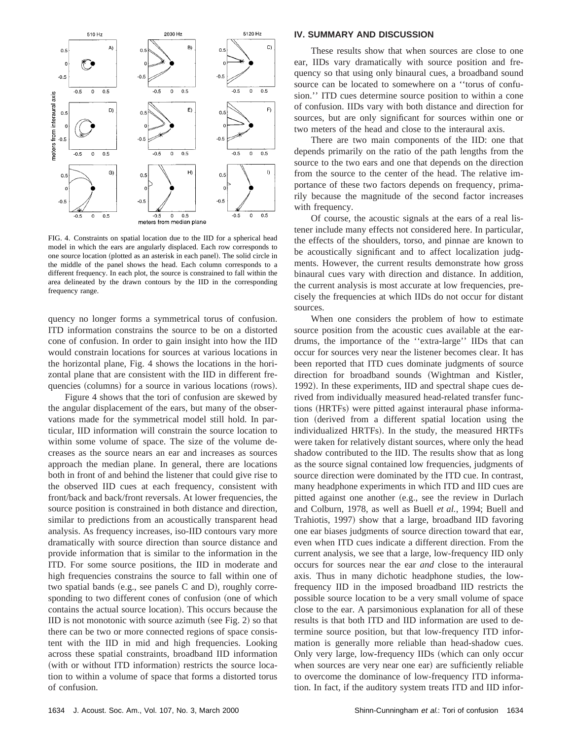

FIG. 4. Constraints on spatial location due to the IID for a spherical head model in which the ears are angularly displaced. Each row corresponds to one source location (plotted as an asterisk in each panel). The solid circle in the middle of the panel shows the head. Each column corresponds to a different frequency. In each plot, the source is constrained to fall within the area delineated by the drawn contours by the IID in the corresponding frequency range.

quency no longer forms a symmetrical torus of confusion. ITD information constrains the source to be on a distorted cone of confusion. In order to gain insight into how the IID would constrain locations for sources at various locations in the horizontal plane, Fig. 4 shows the locations in the horizontal plane that are consistent with the IID in different frequencies (columns) for a source in various locations (rows).

Figure 4 shows that the tori of confusion are skewed by the angular displacement of the ears, but many of the observations made for the symmetrical model still hold. In particular, IID information will constrain the source location to within some volume of space. The size of the volume decreases as the source nears an ear and increases as sources approach the median plane. In general, there are locations both in front of and behind the listener that could give rise to the observed IID cues at each frequency, consistent with front/back and back/front reversals. At lower frequencies, the source position is constrained in both distance and direction, similar to predictions from an acoustically transparent head analysis. As frequency increases, iso-IID contours vary more dramatically with source direction than source distance and provide information that is similar to the information in the ITD. For some source positions, the IID in moderate and high frequencies constrains the source to fall within one of two spatial bands (e.g., see panels  $C$  and  $D$ ), roughly corresponding to two different cones of confusion (one of which contains the actual source location). This occurs because the  $\text{IID}$  is not monotonic with source azimuth (see Fig. 2) so that there can be two or more connected regions of space consistent with the IID in mid and high frequencies. Looking across these spatial constraints, broadband IID information (with or without ITD information) restricts the source location to within a volume of space that forms a distorted torus of confusion.

#### **IV. SUMMARY AND DISCUSSION**

These results show that when sources are close to one ear, IIDs vary dramatically with source position and frequency so that using only binaural cues, a broadband sound source can be located to somewhere on a ''torus of confusion.'' ITD cues determine source position to within a cone of confusion. IIDs vary with both distance and direction for sources, but are only significant for sources within one or two meters of the head and close to the interaural axis.

There are two main components of the IID: one that depends primarily on the ratio of the path lengths from the source to the two ears and one that depends on the direction from the source to the center of the head. The relative importance of these two factors depends on frequency, primarily because the magnitude of the second factor increases with frequency.

Of course, the acoustic signals at the ears of a real listener include many effects not considered here. In particular, the effects of the shoulders, torso, and pinnae are known to be acoustically significant and to affect localization judgments. However, the current results demonstrate how gross binaural cues vary with direction and distance. In addition, the current analysis is most accurate at low frequencies, precisely the frequencies at which IIDs do not occur for distant sources.

When one considers the problem of how to estimate source position from the acoustic cues available at the eardrums, the importance of the ''extra-large'' IIDs that can occur for sources very near the listener becomes clear. It has been reported that ITD cues dominate judgments of source direction for broadband sounds (Wightman and Kistler, 1992). In these experiments, IID and spectral shape cues derived from individually measured head-related transfer functions (HRTFs) were pitted against interaural phase information (derived from a different spatial location using the individualized HRTFs). In the study, the measured HRTFs were taken for relatively distant sources, where only the head shadow contributed to the IID. The results show that as long as the source signal contained low frequencies, judgments of source direction were dominated by the ITD cue. In contrast, many headphone experiments in which ITD and IID cues are pitted against one another (e.g., see the review in Durlach and Colburn, 1978, as well as Buell *et al.*, 1994; Buell and Trahiotis, 1997) show that a large, broadband IID favoring one ear biases judgments of source direction toward that ear, even when ITD cues indicate a different direction. From the current analysis, we see that a large, low-frequency IID only occurs for sources near the ear *and* close to the interaural axis. Thus in many dichotic headphone studies, the lowfrequency IID in the imposed broadband IID restricts the possible source location to be a very small volume of space close to the ear. A parsimonious explanation for all of these results is that both ITD and IID information are used to determine source position, but that low-frequency ITD information is generally more reliable than head-shadow cues. Only very large, low-frequency IIDs (which can only occur when sources are very near one ear) are sufficiently reliable to overcome the dominance of low-frequency ITD information. In fact, if the auditory system treats ITD and IID infor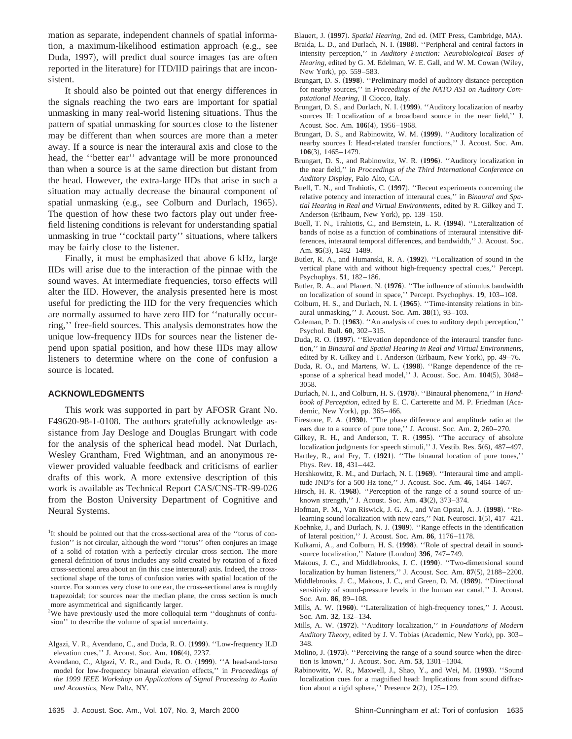mation as separate, independent channels of spatial information, a maximum-likelihood estimation approach (e.g., see Duda, 1997), will predict dual source images (as are often reported in the literature) for ITD/IID pairings that are inconsistent.

It should also be pointed out that energy differences in the signals reaching the two ears are important for spatial unmasking in many real-world listening situations. Thus the pattern of spatial unmasking for sources close to the listener may be different than when sources are more than a meter away. If a source is near the interaural axis and close to the head, the ''better ear'' advantage will be more pronounced than when a source is at the same direction but distant from the head. However, the extra-large IIDs that arise in such a situation may actually decrease the binaural component of spatial unmasking (e.g., see Colburn and Durlach, 1965). The question of how these two factors play out under freefield listening conditions is relevant for understanding spatial unmasking in true ''cocktail party'' situations, where talkers may be fairly close to the listener.

Finally, it must be emphasized that above 6 kHz, large IIDs will arise due to the interaction of the pinnae with the sound waves. At intermediate frequencies, torso effects will alter the IID. However, the analysis presented here is most useful for predicting the IID for the very frequencies which are normally assumed to have zero IID for ''naturally occurring,'' free-field sources. This analysis demonstrates how the unique low-frequency IIDs for sources near the listener depend upon spatial position, and how these IIDs may allow listeners to determine where on the cone of confusion a source is located.

#### **ACKNOWLEDGMENTS**

This work was supported in part by AFOSR Grant No. F49620-98-1-0108. The authors gratefully acknowledge assistance from Jay Desloge and Douglas Brungart with code for the analysis of the spherical head model. Nat Durlach, Wesley Grantham, Fred Wightman, and an anonymous reviewer provided valuable feedback and criticisms of earlier drafts of this work. A more extensive description of this work is available as Technical Report CAS/CNS-TR-99-026 from the Boston University Department of Cognitive and Neural Systems.

<sup>2</sup>We have previously used the more colloquial term "doughnuts of confusion'' to describe the volume of spatial uncertainty.

- Algazi, V. R., Avendano, C., and Duda, R. O. (1999). "Low-frequency ILD elevation cues," J. Acoust. Soc. Am.  $106(4)$ , 2237.
- Avendano, C., Algazi, V. R., and Duda, R. O. ~**1999**!. ''A head-and-torso model for low-frequency binaural elevation effects,'' in *Proceedings of the 1999 IEEE Workshop on Applications of Signal Processing to Audio and Acoustics*, New Paltz, NY.
- Blauert, J. (1997). *Spatial Hearing*, 2nd ed. (MIT Press, Cambridge, MA).
- Braida, L. D., and Durlach, N. I. (1988). "Peripheral and central factors in intensity perception,'' in *Auditory Function: Neurobiological Bases of* Hearing, edited by G. M. Edelman, W. E. Gall, and W. M. Cowan (Wiley, New York), pp. 559-583.
- Brungart, D. S. (1998). "Preliminary model of auditory distance perception for nearby sources,'' in *Proceedings of the NATO AS1 on Auditory Computational Hearing*, Il Ciocco, Italy.
- Brungart, D. S., and Durlach, N. I. (1999). "Auditory localization of nearby sources II: Localization of a broadband source in the near field,'' J. Acoust. Soc. Am. **106**(4), 1956–1968.
- Brungart, D. S., and Rabinowitz, W. M. (1999). "Auditory localization of nearby sources I: Head-related transfer functions,'' J. Acoust. Soc. Am. **106**(3), 1465–1479.
- Brungart, D. S., and Rabinowitz, W. R. (1996). "Auditory localization in the near field,'' in *Proceedings of the Third International Conference on Auditory Display*, Palo Alto, CA.
- Buell, T. N., and Trahiotis, C. (1997). "Recent experiments concerning the relative potency and interaction of interaural cues,'' in *Binaural and Spatial Hearing in Real and Virtual Environments*, edited by R. Gilkey and T. Anderson (Erlbaum, New York), pp. 139-150.
- Buell, T. N., Trahiotis, C., and Bernstein, L. R. ~**1994**!. ''Lateralization of bands of noise as a function of combinations of interaural intensitive differences, interaural temporal differences, and bandwidth,'' J. Acoust. Soc. Am. 95(3), 1482-1489.
- Butler, R. A., and Humanski, R. A. ~**1992**!. ''Localization of sound in the vertical plane with and without high-frequency spectral cues,'' Percept. Psychophys. **51**, 182–186.
- Butler, R. A., and Planert, N. (1976). "The influence of stimulus bandwidth on localization of sound in space,'' Percept. Psychophys. **19**, 103–108.
- Colburn, H. S., and Durlach, N. I. (1965). "Time-intensity relations in binaural unmasking," J. Acoust. Soc. Am. 38(1), 93-103.
- Coleman, P. D. (1963). "An analysis of cues to auditory depth perception," Psychol. Bull. **60**, 302–315.
- Duda, R. O. (1997). "Elevation dependence of the interaural transfer function,'' in *Binaural and Spatial Hearing in Real and Virtual Environments*, edited by R. Gilkey and T. Anderson (Erlbaum, New York), pp.  $49-76$ .
- Duda, R. O., and Martens, W. L. (1998). "Range dependence of the response of a spherical head model," J. Acoust. Soc. Am.  $104(5)$ , 3048– 3058.
- Durlach, N. I., and Colburn, H. S. (1978). "Binaural phenomena," in *Handbook of Perception*, edited by E. C. Carterette and M. P. Friedman (Academic, New York), pp. 365-466.
- Firestone, F. A. (1930). "The phase difference and amplitude ratio at the ears due to a source of pure tone,'' J. Acoust. Soc. Am. **2**, 260–270.
- Gilkey, R. H., and Anderson, T. R. (1995). "The accuracy of absolute localization judgments for speech stimuli," J. Vestib. Res.  $5(6)$ , 487-497.
- Hartley, R., and Fry, T. (1921). "The binaural location of pure tones," Phys. Rev. **18**, 431–442.
- Hershkowitz, R. M., and Durlach, N. I. (1969). "Interaural time and amplitude JND's for a 500 Hz tone,'' J. Acoust. Soc. Am. **46**, 1464–1467.
- Hirsch, H. R. (1968). "Perception of the range of a sound source of unknown strength," J. Acoust. Soc. Am. 43(2), 373-374.
- Hofman, P. M., Van Riswick, J. G. A., and Van Opstal, A. J. ~**1998**!. ''Relearning sound localization with new ears," Nat. Neurosci. 1(5), 417-421.
- Koehnke, J., and Durlach, N. J. (1989). "Range effects in the identification of lateral position,'' J. Acoust. Soc. Am. **86**, 1176–1178.
- Kulkarni, A., and Colburn, H. S. (1998). "Role of spectral detail in soundsource localization," Nature (London) 396, 747-749.
- Makous, J. C., and Middlebrooks, J. C. ~**1990**!. ''Two-dimensional sound localization by human listeners," J. Acoust. Soc. Am. 87(5), 2188-2200.
- Middlebrooks, J. C., Makous, J. C., and Green, D. M. ~**1989**!. ''Directional sensitivity of sound-pressure levels in the human ear canal,'' J. Acoust. Soc. Am. **86**, 89–108.
- Mills, A. W. (1960). "Lateralization of high-frequency tones," J. Acoust. Soc. Am. **32**, 132–134.
- Mills, A. W. (1972). "Auditory localization," in *Foundations of Modern* Auditory Theory, edited by J. V. Tobias (Academic, New York), pp. 303– 348.
- Molino, J. (1973). "Perceiving the range of a sound source when the direction is known,'' J. Acoust. Soc. Am. **53**, 1301–1304.
- Rabinowitz, W. R., Maxwell, J., Shao, Y., and Wei, M. (1993). "Sound localization cues for a magnified head: Implications from sound diffraction about a rigid sphere," Presence  $2(2)$ ,  $125-129$ .

<sup>&</sup>lt;sup>1</sup>It should be pointed out that the cross-sectional area of the "torus of confusion'' is not circular, although the word ''torus'' often conjures an image of a solid of rotation with a perfectly circular cross section. The more general definition of torus includes any solid created by rotation of a fixed cross-sectional area about an (in this case interaural) axis. Indeed, the crosssectional shape of the torus of confusion varies with spatial location of the source. For sources very close to one ear, the cross-sectional area is roughly trapezoidal; for sources near the median plane, the cross section is much more asymmetrical and significantly larger.